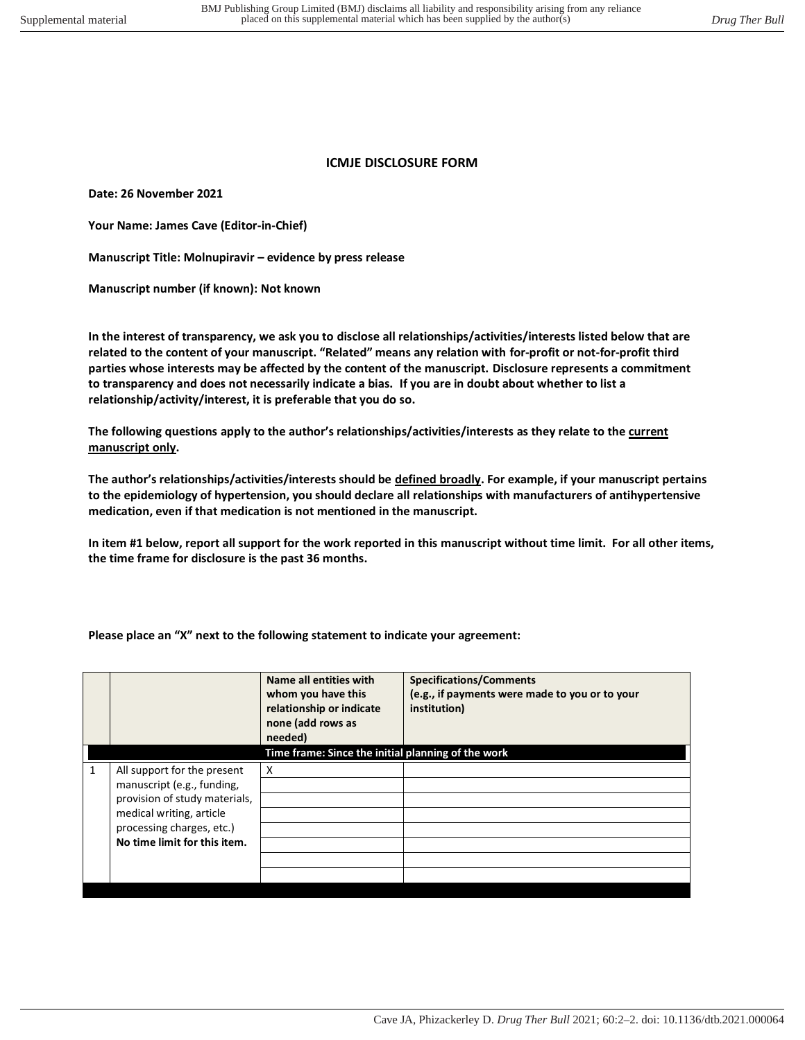## **ICMJE DISCLOSURE FORM**

**Date: 26 November 2021** 

**Your Name: James Cave (Editor-in-Chief)** 

**Manuscript Title: Molnupiravir – evidence by press release** 

**Manuscript number (if known): Not known** 

**In the interest of transparency, we ask you to disclose all relationships/activities/interests listed below that are related to the content of your manuscript. "Related" means any relation with for-profit or not-for-profit third parties whose interests may be affected by the content of the manuscript. Disclosure represents a commitment to transparency and does not necessarily indicate a bias. If you are in doubt about whether to list a relationship/activity/interest, it is preferable that you do so.** 

**The following questions apply to the author's relationships/activities/interests as they relate to the current manuscript only.** 

**The author's relationships/activities/interests should be defined broadly. For example, if your manuscript pertains to the epidemiology of hypertension, you should declare all relationships with manufacturers of antihypertensive medication, even if that medication is not mentioned in the manuscript.** 

**In item #1 below, report all support for the work reported in this manuscript without time limit. For all other items, the time frame for disclosure is the past 36 months.** 

|  |  |  | Please place an "X" next to the following statement to indicate your agreement: |  |  |
|--|--|--|---------------------------------------------------------------------------------|--|--|
|--|--|--|---------------------------------------------------------------------------------|--|--|

|                                                                                                                                                                                     | Name all entities with<br>whom you have this<br>relationship or indicate<br>none (add rows as<br>needed) | <b>Specifications/Comments</b><br>(e.g., if payments were made to you or to your<br>institution) |
|-------------------------------------------------------------------------------------------------------------------------------------------------------------------------------------|----------------------------------------------------------------------------------------------------------|--------------------------------------------------------------------------------------------------|
|                                                                                                                                                                                     | Time frame: Since the initial planning of the work                                                       |                                                                                                  |
| All support for the present<br>manuscript (e.g., funding,<br>provision of study materials,<br>medical writing, article<br>processing charges, etc.)<br>No time limit for this item. | X                                                                                                        |                                                                                                  |